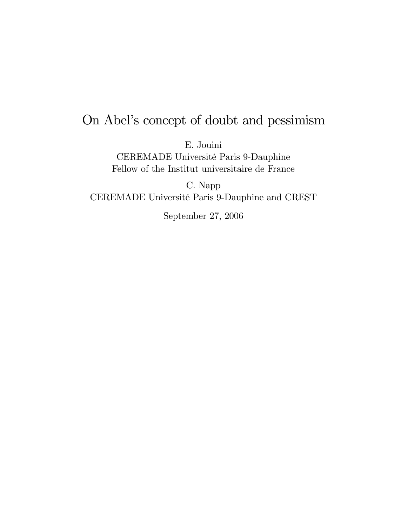# On Abel's concept of doubt and pessimism

E. Jouini

CEREMADE Université Paris 9-Dauphine Fellow of the Institut universitaire de France

C. Napp CEREMADE Université Paris 9-Dauphine and CREST

September 27, 2006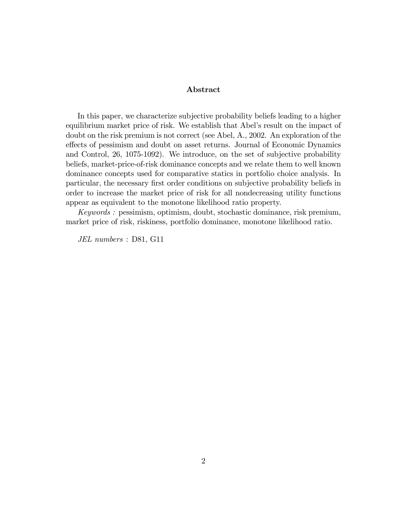#### Abstract

In this paper, we characterize subjective probability beliefs leading to a higher equilibrium market price of risk. We establish that Abel's result on the impact of doubt on the risk premium is not correct (see Abel, A., 2002. An exploration of the effects of pessimism and doubt on asset returns. Journal of Economic Dynamics and Control, 26, 1075-1092). We introduce, on the set of subjective probability beliefs, market-price-of-risk dominance concepts and we relate them to well known dominance concepts used for comparative statics in portfolio choice analysis. In particular, the necessary Örst order conditions on subjective probability beliefs in order to increase the market price of risk for all nondecreasing utility functions appear as equivalent to the monotone likelihood ratio property.

Keywords : pessimism, optimism, doubt, stochastic dominance, risk premium, market price of risk, riskiness, portfolio dominance, monotone likelihood ratio.

JEL numbers : D81, G11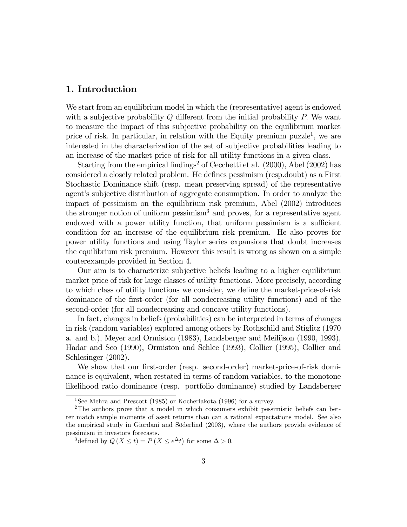# 1. Introduction

We start from an equilibrium model in which the (representative) agent is endowed with a subjective probability  $Q$  different from the initial probability  $P$ . We want to measure the impact of this subjective probability on the equilibrium market price of risk. In particular, in relation with the Equity premium puzzle<sup>1</sup>, we are interested in the characterization of the set of subjective probabilities leading to an increase of the market price of risk for all utility functions in a given class.

Starting from the empirical findings<sup>2</sup> of Cecchetti et al.  $(2000)$ , Abel  $(2002)$  has considered a closely related problem. He defines pessimism (resp.doubt) as a First Stochastic Dominance shift (resp. mean preserving spread) of the representative agent's subjective distribution of aggregate consumption. In order to analyze the impact of pessimism on the equilibrium risk premium, Abel (2002) introduces the stronger notion of uniform pessimism<sup>3</sup> and proves, for a representative agent endowed with a power utility function, that uniform pessimism is a sufficient condition for an increase of the equilibrium risk premium. He also proves for power utility functions and using Taylor series expansions that doubt increases the equilibrium risk premium. However this result is wrong as shown on a simple couterexample provided in Section 4.

Our aim is to characterize subjective beliefs leading to a higher equilibrium market price of risk for large classes of utility functions. More precisely, according to which class of utility functions we consider, we define the market-price-of-risk dominance of the Örst-order (for all nondecreasing utility functions) and of the second-order (for all nondecreasing and concave utility functions).

In fact, changes in beliefs (probabilities) can be interpreted in terms of changes in risk (random variables) explored among others by Rothschild and Stiglitz (1970 a. and b.), Meyer and Ormiston (1983), Landsberger and Meilijson (1990, 1993), Hadar and Seo (1990), Ormiston and Schlee (1993), Gollier (1995), Gollier and Schlesinger (2002).

We show that our first-order (resp. second-order) market-price-of-risk dominance is equivalent, when restated in terms of random variables, to the monotone likelihood ratio dominance (resp. portfolio dominance) studied by Landsberger

<sup>1</sup>See Mehra and Prescott (1985) or Kocherlakota (1996) for a survey.

<sup>2</sup>The authors prove that a model in which consumers exhibit pessimistic beliefs can better match sample moments of asset returns than can a rational expectations model. See also the empirical study in Giordani and Söderlind (2003), where the authors provide evidence of pessimism in investors forecasts.

<sup>&</sup>lt;sup>3</sup>defined by  $Q(X \le t) = P(X \le e^{\Delta}t)$  for some  $\Delta > 0$ .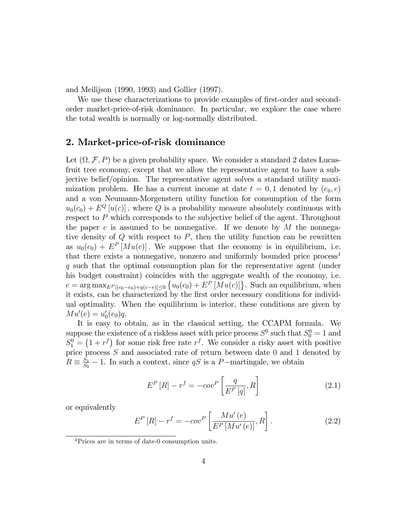and Meilijson (1990, 1993) and Gollier (1997).

We use these characterizations to provide examples of first-order and secondorder market-price-of-risk dominance. In particular, we explore the case where the total wealth is normally or log-normally distributed.

# 2. Market-price-of-risk dominance

Let  $(\Omega, \mathcal{F}, P)$  be a given probability space. We consider a standard 2 dates Lucasfruit tree economy, except that we allow the representative agent to have a subjective belief/opinion. The representative agent solves a standard utility maximization problem. He has a current income at date  $t = 0, 1$  denoted by  $(e_0, e)$ and a von Neumann-Morgenstern utility function for consumption of the form  $u_0(c_0) + E^Q[u(c)]$ , where Q is a probability measure absolutely continuous with respect to P which corresponds to the subjective belief of the agent. Throughout the paper  $e$  is assumed to be nonnegative. If we denote by  $M$  the nonnegative density of  $Q$  with respect to  $P$ , then the utility function can be rewritten as  $u_0(c_0) + E^P[Mu(c)]$ . We suppose that the economy is in equilibrium, i.e. that there exists a nonnegative, nonzero and uniformly bounded price  $\gamma$ q such that the optimal consumption plan for the representative agent (under his budget constraint) coincides with the aggregate wealth of the economy, i.e.  $e = \arg \max_{E^P[(c_0 - e_0) + q(c - e)] \leq 0} \{u_0(c_0) + E^P[Mu(c)]\}.$  Such an equilibrium, when it exists, can be characterized by the first order necessary conditions for individual optimality. When the equilibrium is interior, these conditions are given by  $M u'(e) = u'_0(e_0)q.$ 

It is easy to obtain, as in the classical setting, the CCAPM formula. We suppose the existence of a riskless asset with price process  $S^0$  such that  $S_0^0 = 1$  and  $S_1^0 = (1 + r^f)$  for some risk free rate  $r^f$ . We consider a risky asset with positive price process  $S$  and associated rate of return between date 0 and 1 denoted by  $R \equiv \frac{S_1}{S_0}$  $\frac{S_1}{S_0}$  – 1. In such a context, since qS is a P-martingale, we obtain

$$
E^{P}[R] - r^{f} = -cov^{P}\left[\frac{q}{E^{P}[q]}, R\right]
$$
\n(2.1)

or equivalently

$$
E^{P}[R] - r^{f} = -cov^{P}\left[\frac{Mu'(e)}{E^{P}[Mu'(e)]}, R\right].
$$
 (2.2)

<sup>4</sup>Prices are in terms of date-0 consumption units.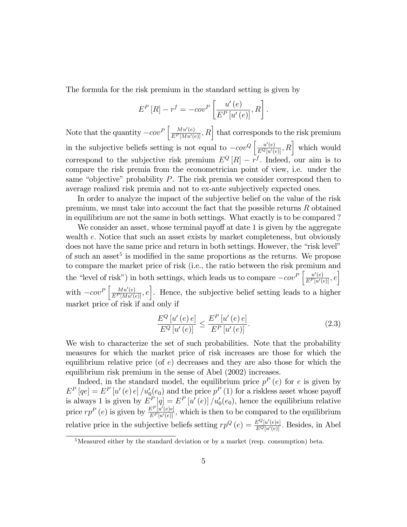The formula for the risk premium in the standard setting is given by

$$
E^{P}[R] - r^{f} = -cov^{P}\left[\frac{u'(e)}{E^{P}[u'(e)]}, R\right].
$$

Note that the quantity  $-cov^P\left[\frac{Mu'(e)}{E^P[Mu'(e)]},R\right]$  that corresponds to the risk premium in the subjective beliefs setting is not equal to  $-cov^Q\left[\frac{u'(e)}{E^Q[u'(e)]},R\right]$  which would correspond to the subjective risk premium  $E^{Q}[R] - r^{f}$ . Indeed, our aim is to compare the risk premia from the econometrician point of view, i.e. under the same "objective" probability  $P$ . The risk premia we consider correspond then to average realized risk premia and not to ex-ante subjectively expected ones.

In order to analyze the impact of the subjective belief on the value of the risk premium, we must take into account the fact that the possible returns R obtained in equilibrium are not the same in both settings. What exactly is to be compared ?

We consider an asset, whose terminal payoff at date  $1$  is given by the aggregate wealth e: Notice that such an asset exists by market completeness, but obviously does not have the same price and return in both settings. However, the "risk level" of such an asset<sup>5</sup> is modified in the same proportions as the returns. We propose to compare the market price of risk (i.e., the ratio between the risk premium and the "level of risk") in both settings, which leads us to compare  $-cov^P\left[\frac{u'(e)}{E^P[u'(e)]},e\right]$ with  $-cov^P\left[\frac{M u'(e)}{E^P[M u'(e)]}, e\right]$ . Hence, the subjective belief setting leads to a higher market price of risk if and only if

$$
\frac{E^{Q}[u'(e)e]}{E^{Q}[u'(e)]} \le \frac{E^{P}[u'(e)e]}{E^{P}[u'(e)]}.
$$
\n(2.3)

We wish to characterize the set of such probabilities. Note that the probability measures for which the market price of risk increases are those for which the equilibrium relative price (of  $e$ ) decreases and they are also those for which the equilibrium risk premium in the sense of Abel (2002) increases.

Indeed, in the standard model, the equilibrium price  $p^{P}(e)$  for e is given by  $E^{P} [qe] = E^{P} [u'(e) e] / u'_{0}(e_{0})$  and the price  $p^{P} (1)$  for a riskless asset whose payoff is always 1 is given by  $E_{\perp}^P[q] = E^P[u'(e)]/u'_0(e_0)$ , hence the equilibrium relative price  $rp^P(e)$  is given by  $\frac{E^P[u'(e)e]}{E^P[u'(e)]}$ , which is then to be compared to the equilibrium relative price in the subjective beliefs setting  $rp^{Q}(e) = \frac{E^{Q}[u'(e)e]}{E^{Q}[u'(e)]}$ . Besides, in Abel

<sup>5</sup>Measured either by the standard deviation or by a market (resp. consumption) beta.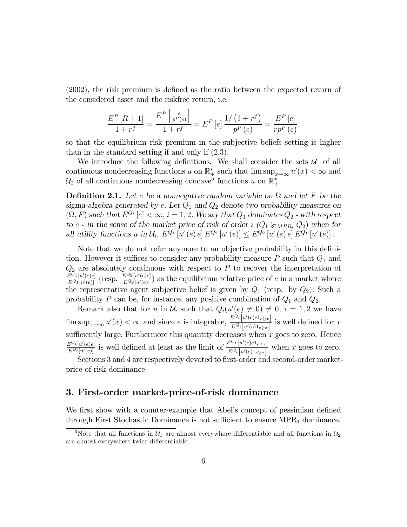$(2002)$ , the risk premium is defined as the ratio between the expected return of the considered asset and the riskfree return, i.e.

$$
\frac{E^{P}\left[R+1\right]}{1+r^{f}}=\frac{E^{P}\left[\frac{e}{p^{P}\left(e\right)}\right]}{1+r^{f}}=E^{P}\left[e\right]\frac{1/\left(1+r^{f}\right)}{p^{P}\left(e\right)}=\frac{E^{P}\left[e\right]}{rp^{P}\left(e\right)},
$$

so that the equilibrium risk premium in the subjective beliefs setting is higher than in the standard setting if and only if (2:3).

We introduce the following definitions. We shall consider the sets  $\mathcal{U}_1$  of all continuous nondecreasing functions u on  $\mathbb{R}^*_{\frac{1}{k}}$  such that  $\limsup_{x\to\infty}u'(x)<\infty$  and  $\mathcal{U}_2$  of all continuous nondecreasing concave<sup>6</sup> functions u on  $\mathbb{R}^*_+$ .

**Definition 2.1.** Let e be a nonnegative random variable on  $\Omega$  and let F be the sigma-algebra generated by e. Let  $Q_1$  and  $Q_2$  denote two probability measures on  $(Q, F)$  such that  $E^{Q_i}[e] < \infty$ ,  $i = 1, 2$ . We say that  $Q_1$  dominates  $Q_2$  - with respect to e - in the sense of the market price of risk of order i  $(Q_1 \succcurlyeq_{MPR_i} Q_2)$  when for all utility functions u in  $\mathcal{U}_i$ ,  $E^{Q_1}[u'(e) e] E^{Q_2}[u'(e)] \leq E^{Q_2}[u'(e) e] E^{Q_1}[u'(e)]$ .

Note that we do not refer anymore to an objective probability in this definition. However it suffices to consider any probability measure  $P$  such that  $Q_1$  and  $Q_2$  are absolutely continuous with respect to P to recover the interpretation of  $\frac{E^{Q_1}[u'(e)e]}{E^{Q_1}[u'(e)]}$  (resp.  $\frac{E^{Q_2}[u'(e)e]}{E^{Q_2}[u'(e)]}$ ) as the equilibrium relative price of e in a market where the representative agent subjective belief is given by  $Q_1$  (resp. by  $Q_2$ ). Such a probability P can be, for instance, any positive combination of  $Q_1$  and  $Q_2$ .

Remark also that for u in  $\mathcal{U}_i$  such that  $Q_i(u'(e) \neq 0) \neq 0, i = 1, 2$  we have  $\limsup_{x\to\infty} u'(x) < \infty$  and since e is integrable,  $\frac{E^{Q_i}[u'(e)e_{1_e\geq x}]}{E^{Q_i}[u'(e)1_{e>x}]}$  $\frac{E^{Q_i}[u(e) \epsilon_i e_i x_j]}{E^{Q_i}[u'(e) \epsilon_i x_j]}$  is well defined for x sufficiently large. Furthermore this quantity decreases when x goes to zero. Hence  $\frac{E^{Q_i}[u'(e)e]}{E^{Q_i}[u'(e)]}$  is well defined at least as the limit of  $\frac{E^{Q_i}[u'(e)e_{1_e\geq x}]}{E^{Q_i}[u'(e)]_{e>x}}$  $\frac{E^{Q_i}[u(e)e]_e\geq x]}{E^{Q_i}[u'(e)1_{e\geq x}]}$  when x goes to zero.

Sections 3 and 4 are respectively devoted to first-order and second-order marketprice-of-risk dominance.

## 3. First-order market-price-of-risk dominance

We first show with a counter-example that Abel's concept of pessimism defined through First Stochastic Dominance is not sufficient to ensure  $MPR<sub>1</sub>$  dominance.

<sup>&</sup>lt;sup>6</sup>Note that all functions in  $U_1$  are almost everywhere differentiable and all functions in  $U_2$ are almost everywhere twice differentiable.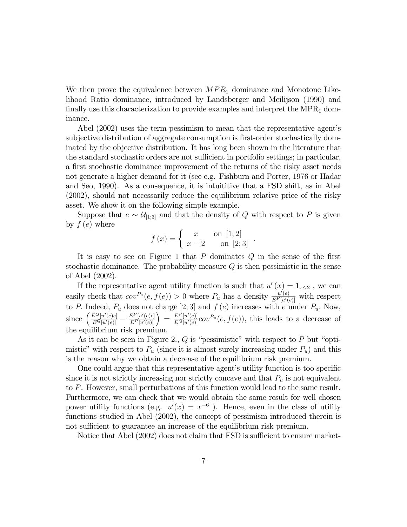We then prove the equivalence between  $MPR<sub>1</sub>$  dominance and Monotone Likelihood Ratio dominance, introduced by Landsberger and Meilijson (1990) and finally use this characterization to provide examples and interpret the  $MPR<sub>1</sub>$  dominance.

Abel (2002) uses the term pessimism to mean that the representative agent's subjective distribution of aggregate consumption is first-order stochastically dominated by the objective distribution. It has long been shown in the literature that the standard stochastic orders are not sufficient in portfolio settings; in particular, a first stochastic dominance improvement of the returns of the risky asset needs not generate a higher demand for it (see e.g. Fishburn and Porter, 1976 or Hadar and Seo, 1990). As a consequence, it is intuititive that a FSD shift, as in Abel (2002), should not necessarily reduce the equilibrium relative price of the risky asset. We show it on the following simple example.

Suppose that  $e \sim \mathcal{U}_{[1;3]}$  and that the density of Q with respect to P is given by  $f(e)$  where

$$
f(x) = \begin{cases} x & \text{on } [1;2[\\ x-2 & \text{on } [2;3] \end{cases}.
$$

It is easy to see on Figure 1 that  $P$  dominates  $Q$  in the sense of the first stochastic dominance. The probability measure Q is then pessimistic in the sense of Abel (2002).

If the representative agent utility function is such that  $u'(x) = 1_{x \leq 2}$ , we can easily check that  $cov^{P_u}(e, f(e)) > 0$  where  $P_u$  has a density  $\frac{u'(e)}{E^P[u'(e)]}$  with respect to P. Indeed,  $P_u$  does not charge [2; 3] and  $f(e)$  increases with e under  $P_u$ . Now, since  $\left(\frac{E^Q[u'(e)e]}{E^Q[u'(e)]}\right)$  –  $\frac{E^P[u'(e)e]}{E^P[u'(e)]} = \frac{E^P[u'(e)]}{E^Q[u'(e)]} cov^{P_u}(e, f(e)),$  this leads to a decrease of the equilibrium risk premium.

As it can be seen in Figure 2.,  $Q$  is "pessimistic" with respect to  $P$  but "optimistic" with respect to  $P_u$  (since it is almost surely increasing under  $P_u$ ) and this is the reason why we obtain a decrease of the equilibrium risk premium.

One could argue that this representative agent's utility function is too specific since it is not strictly increasing nor strictly concave and that  $P_u$  is not equivalent to P. However, small perturbations of this function would lead to the same result. Furthermore, we can check that we would obtain the same result for well chosen power utility functions (e.g.  $u'(x) = x^{-6}$ ). Hence, even in the class of utility functions studied in Abel (2002), the concept of pessimism introduced therein is not sufficient to guarantee an increase of the equilibrium risk premium.

Notice that Abel  $(2002)$  does not claim that FSD is sufficient to ensure market-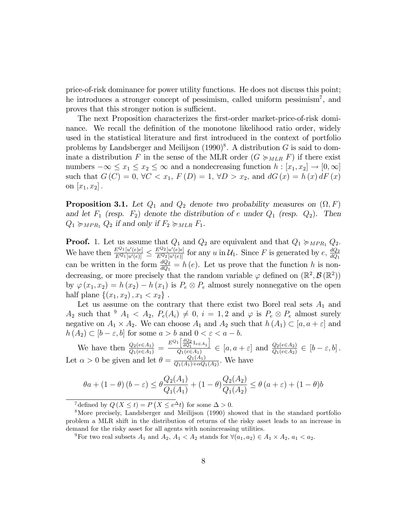price-of-risk dominance for power utility functions. He does not discuss this point; he introduces a stronger concept of pessimism, called uniform pessimism<sup>7</sup>, and proves that this stronger notion is sufficient.

The next Proposition characterizes the first-order market-price-of-risk dominance. We recall the definition of the monotone likelihood ratio order, widely used in the statistical literature and first introduced in the context of portfolio problems by Landsberger and Meilijson  $(1990)^8$ . A distribution G is said to dominate a distribution F in the sense of the MLR order  $(G \succcurlyeq_{MLR} F)$  if there exist numbers  $-\infty \le x_1 \le x_2 \le \infty$  and a nondecreasing function  $h : [x_1, x_2] \to [0, \infty]$ such that  $G(C) = 0$ ,  $\forall C < x_1$ ,  $F(D) = 1$ ,  $\forall D > x_2$ , and  $dG(x) = h(x) dF(x)$ on  $[x_1, x_2]$ .

**Proposition 3.1.** Let  $Q_1$  and  $Q_2$  denote two probability measures on  $(\Omega, F)$ and let  $F_1$  (resp.  $F_2$ ) denote the distribution of e under  $Q_1$  (resp.  $Q_2$ ). Then  $Q_1 \succcurlyeq_{MPR_1} Q_2$  if and only if  $F_2 \succcurlyeq_{MLR} F_1$ .

**Proof.** 1. Let us assume that  $Q_1$  and  $Q_2$  are equivalent and that  $Q_1 \succcurlyeq_{MPR_1} Q_2$ . We have then  $\frac{E^{Q_1}[u'(e)e]}{E^{Q_1}[u'(e)]} \leq$  $\frac{E^{Q_2}[u'(e)e]}{E^{Q_2}[u'(e)]}$  for any u in  $\mathcal{U}_1$ . Since F is generated by  $e$ ,  $\frac{dQ_2}{dQ_1}$ can be written in the form  $\frac{dQ_2}{dQ_1} = h(e)$ . Let us prove that the function h is nondecreasing, or more precisely that the random variable  $\varphi$  defined on  $(\mathbb{R}^2, \mathcal{B}(\mathbb{R}^2))$ by  $\varphi(x_1, x_2) = h(x_2) - h(x_1)$  is  $P_e \otimes P_e$  almost surely nonnegative on the open half plane  $\{(x_1, x_2), x_1 < x_2\}$ .

Let us assume on the contrary that there exist two Borel real sets  $A_1$  and  $A_2$  such that  $\frac{9}{5}A_1 \leq A_2$ ,  $P_e(A_i) \neq 0$ ,  $i = 1, 2$  and  $\varphi$  is  $P_e \otimes P_e$  almost surely negative on  $A_1 \times A_2$ . We can choose  $A_1$  and  $A_2$  such that  $h(A_1) \subset [a, a + \varepsilon]$  and  $h(A_2) \subset [b - \varepsilon, b]$  for some  $a > b$  and  $0 < \varepsilon < a - b$ .

We have then  $\frac{Q_2(e \in A_1)}{Q_1(e \in A_1)} = \frac{E^{Q_1} \left[ \frac{dQ_2}{dQ_1} 1_{e \in A_1} \right]}{Q_1(e \in A_1)}$  $\frac{\log_{1} \log_{1} \log_{2} \log_{10}(a)}{Q_1(e \in A_1)} \in [a, a + \varepsilon]$  and  $\frac{Q_2(e \in A_2)}{Q_1(e \in A_2)} \in [b - \varepsilon, b].$ Let  $\alpha > 0$  be given and let  $\theta = \frac{Q_1(A_1)}{Q_1(A_1) + \alpha Q_1}$  $\frac{Q_1(A_1)}{Q_1(A_1)+\alpha Q_1(A_2)}$ . We have

$$
\theta a + (1 - \theta)(b - \varepsilon) \le \theta \frac{Q_2(A_1)}{Q_1(A_1)} + (1 - \theta) \frac{Q_2(A_2)}{Q_1(A_2)} \le \theta (a + \varepsilon) + (1 - \theta)b
$$

<sup>7</sup>defined by  $Q(X \le t) = P(X \le e^{\Delta}t)$  for some  $\Delta > 0$ .

<sup>8</sup>More precisely, Landsberger and Meilijson (1990) showed that in the standard portfolio problem a MLR shift in the distribution of returns of the risky asset leads to an increase in demand for the risky asset for all agents with nonincreasing utilities.

<sup>&</sup>lt;sup>9</sup>For two real subsets  $A_1$  and  $A_2$ ,  $A_1 < A_2$  stands for  $\forall (a_1, a_2) \in A_1 \times A_2$ ,  $a_1 < a_2$ .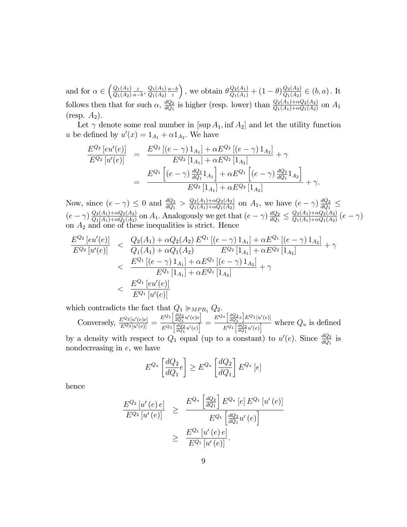and for  $\alpha \in \left(\frac{Q_1(A_1)}{Q_1(A_2)}\right)$  $Q_1(A_2)$  $\varepsilon$  $\frac{\varepsilon}{a-b}$ ,  $\frac{Q_1(A_1)}{Q_1(A_2)}$  $\frac{Q_1(A_1)}{Q_1(A_2)} \frac{a-b}{\varepsilon}$ ), we obtain  $\theta \frac{Q_2(A_1)}{Q_1(A_1)} + (1 - \theta) \frac{Q_2(A_2)}{Q_1(A_2)}$  $\frac{Q_2(A_2)}{Q_1(A_2)} \in (b, a)$ . It follows then that for such  $\alpha$ ,  $\frac{dQ_2}{dQ_1}$  is higher (resp. lower) than  $\frac{Q_2(A_1)+\alpha Q_2(A_2)}{Q_1(A_1)+\alpha Q_1(A_2)}$  on  $A_1$  $(r \exp A_2)$ .

Let  $\gamma$  denote some real number in [sup  $A_1$ , inf  $A_2$ ] and let the utility function u be defined by  $u'(x) = 1_{A_1} + \alpha 1_{A_2}$ . We have

$$
\frac{E^{Q_2}[eu'(e)]}{E^{Q_2}[u'(e)]} = \frac{E^{Q_2}[(e-\gamma)1_{A_1}] + \alpha E^{Q_2}[(e-\gamma)1_{A_2}]}{E^{Q_2}[1_{A_1}] + \alpha E^{Q_2}[1_{A_2}]} + \gamma
$$
  

$$
= \frac{E^{Q_1}[(e-\gamma)\frac{dQ_2}{dQ_1}1_{A_1}] + \alpha E^{Q_1}[(e-\gamma)\frac{dQ_2}{dQ_1}1_{A_2}]}{E^{Q_2}[1_{A_1}] + \alpha E^{Q_2}[1_{A_2}]} + \gamma.
$$

Now, since  $(e - \gamma) \leq 0$  and  $\frac{dQ_2}{dQ_1} > \frac{Q_2(A_1) + \alpha Q_2(A_2)}{Q_1(A_1) + \alpha Q_1(A_2)}$  $\frac{Q_2(A_1)+\alpha Q_2(A_2)}{Q_1(A_1)+\alpha Q_1(A_2)}$  on  $A_1$ , we have  $(e-\gamma)\frac{dQ_2}{dQ_1}$  $\frac{d\vec{Q}_1}{dQ_1}$   $\leq$  $(e - \gamma) \frac{Q_2(A_1) + \alpha Q_2(A_2)}{Q_1(A_1) + \alpha Q_1(A_2)}$  $\frac{Q_2(A_1)+\alpha Q_2(A_2)}{Q_1(A_1)+\alpha Q_1(A_2)}$  on  $A_1$ . Analogously we get that  $(e-\gamma)\frac{dQ_2}{dQ_1}$  $\frac{dQ_2}{dQ_1} \leq \frac{Q_2(A_1) + \alpha Q_2(A_2)}{Q_1(A_1) + \alpha Q_1(A_2)}$  $\frac{Q_2(A_1)+\alpha Q_2(A_2)}{Q_1(A_1)+\alpha Q_1(A_2)}(e-\gamma)$ on  $A_2$  and one of these inequalities is strict. Hence

$$
\frac{E^{Q_2}[eu'(e)]}{E^{Q_2}[u'(e)]} < \frac{Q_2(A_1) + \alpha Q_2(A_2)}{Q_1(A_1) + \alpha Q_1(A_2)} \frac{E^{Q_1}[(e - \gamma) 1_{A_1}] + \alpha E^{Q_1}[(e - \gamma) 1_{A_2}]}{E^{Q_2}[1_{A_1}] + \alpha E^{Q_2}[1_{A_2}]} + \gamma
$$
\n
$$
< \frac{E^{Q_1}[(e - \gamma) 1_{A_1}] + \alpha E^{Q_1}[(e - \gamma) 1_{A_2}]}{E^{Q_1}[1_{A_1}] + \alpha E^{Q_1}[1_{A_2}]} + \gamma
$$
\n
$$
< \frac{E^{Q_1}[eu'(e)]}{E^{Q_1}[u'(e)]}
$$

which contradicts the fact that  $Q_1 \succcurlyeq_{MPR_1} Q_2$ .

Conversely, 
$$
\frac{E^{Q_2}[u'(e)e]}{E^{Q_2}[u'(e)]} = \frac{E^{Q_1}\left[\frac{dQ_2}{dQ_1}u'(e)e\right]}{E^{Q_1}\left[\frac{dQ_2}{dQ_1}u'(e)\right]} = \frac{E^{Q_u}\left[\frac{dQ_2}{dQ_1}e\right]E^{Q_1}[u'(e)]}{E^{Q_1}\left[\frac{dQ_2}{dQ_1}u'(e)\right]}
$$
 where  $Q_u$  is defined

by a density with respect to  $Q_1$  equal (up to a constant) to  $u'(e)$ . Since  $\frac{dQ_2}{dQ_1}$  is nondecreasing in e, we have

$$
E^{Q_u} \left[ \frac{dQ_2}{dQ_1} e \right] \ge E^{Q_u} \left[ \frac{dQ_2}{dQ_1} \right] E^{Q_u} \left[ e \right]
$$

hence

$$
\frac{E^{Q_2}[u'(e)e]}{E^{Q_2}[u'(e)]} \geq \frac{E^{Q_u}\left[\frac{dQ_2}{dQ_1}\right]E^{Q_u}[e]E^{Q_1}[u'(e)]}{E^{Q_1}\left[\frac{dQ_2}{dQ_1}u'(e)\right]}
$$

$$
\geq \frac{E^{Q_1}[u'(e)e]}{E^{Q_1}[u'(e)]}.
$$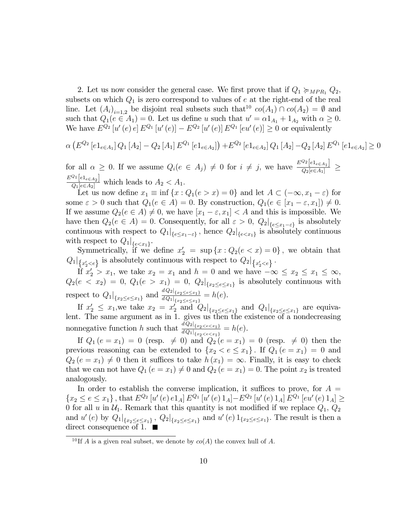2. Let us now consider the general case. We first prove that if  $Q_1 \succcurlyeq_{MPR_1} Q_2$ , subsets on which  $Q_1$  is zero correspond to values of  $e$  at the right-end of the real line. Let  $(A_i)_{i=1,2}$  be disjoint real subsets such that  $co(A_1) \cap co(A_2) = \emptyset$  and such that  $Q_1(e \in A_1) = 0$ . Let us define u such that  $u' = \alpha 1_{A_1} + 1_{A_2}$  with  $\alpha \ge 0$ . We have  $E^{Q_2}[u'(e) e] E^{Q_1}[u'(e)] - E^{Q_2}[u'(e)] E^{Q_1}[eu'(e)] \ge 0$  or equivalently

$$
\alpha \left( E^{Q_2} \left[ e_1_{e \in A_1} \right] Q_1 \left[ A_2 \right] - Q_2 \left[ A_1 \right] E^{Q_1} \left[ e_1_{e \in A_2} \right] \right) + E^{Q_2} \left[ e_1_{e \in A_2} \right] Q_1 \left[ A_2 \right] - Q_2 \left[ A_2 \right] E^{Q_1} \left[ e_1_{e \in A_2} \right] \ge 0
$$

for all  $\alpha \geq 0$ . If we assume  $Q_i(e \in A_j) \neq 0$  for  $i \neq j$ , we have  $\frac{E^{Q_2}[e_{1 e \in A_1}]}{Q_2[e \in A_1]}$  $\frac{1}{Q_2[e\in A_1]} \geq$  $\frac{E^{Q_1}[e_{1e\in A_2}]}{Q_1[e\in A_2]}$  which leads to  $A_2 < A_1$ .

Let us now define  $x_1 \equiv \inf \{x : Q_1(e > x) = 0\}$  and let  $A \subset (-\infty, x_1 - \varepsilon)$  for some  $\varepsilon > 0$  such that  $Q_1(e \in A) = 0$ . By construction,  $Q_1(e \in [x_1 - \varepsilon, x_1]) \neq 0$ . If we assume  $Q_2(e \in A) \neq 0$ , we have  $[x_1 - \varepsilon, x_1] < A$  and this is impossible. We have then  $Q_2(e \in A) = 0$ . Consequently, for all  $\varepsilon > 0$ ,  $Q_2|_{\{e \le x_1 - \varepsilon\}}$  is absolutely continuous with respect to  $Q_1|_{\{e \le x_1 - \varepsilon\}}$ , hence  $Q_2|_{\{e < x_1\}}$  is absolutely continuous with respect to  $Q_1|_{\{e < x_1\}}$ .

Symmetrically, if we define  $x'_2 = \sup \{x : Q_2(e < x) = 0\}$ , we obtain that  $Q_1|_{\{x_2' < e\}}$  is absolutely continuous with respect to  $Q_2|_{\{x_2' < e\}}$ .

If  $x_2' > x_1$ , we take  $x_2 = x_1$  and  $h = 0$  and we have  $-\infty \le x_2 \le x_1 \le \infty$ ,  $Q_2(e < x_2) = 0, Q_1(e > x_1) = 0, Q_2|_{\{x_2 \le e \le x_1\}}$  is absolutely continuous with  ${x_2 \leq e \leq x_1}$ respect to  $Q_1|_{\{x_2 \le e \le x_1\}}$  and  $\frac{dQ_2|_{\{x_2 \le e \le x_1\}}}{dQ_1|_{\{x_2 \le e \le x_1\}}} = h(e)$ .

If  $x_2' \leq x_1$ , we take  $x_2 = x_2'$  and  $Q_2|_{\{x_2 \leq e \leq x_1\}}$  and  $Q_1|_{\{x_2 \leq e \leq x_1\}}$  are equivalent. The same argument as in 1. gives us then the existence of a nondecreasing nonnegative function h such that  $\frac{dQ_2|_{\{x_2 \leq e \leq x_1\}}}{dQ_1|_{\{x_2 \leq e \leq x_1\}}} = h(e)$ .

If  $Q_1 (e = x_1) = 0$  (resp.  $\neq 0$ ) and  $Q_2 (e = x_1) = 0$  (resp.  $\neq 0$ ) then the previous reasoning can be extended to  $\{x_2 < e \leq x_1\}$ . If  $Q_1 (e = x_1) = 0$  and  $Q_2 (e = x_1) \neq 0$  then it suffices to take  $h (x_1) = \infty$ . Finally, it is easy to check that we can not have  $Q_1 (e = x_1) \neq 0$  and  $Q_2 (e = x_1) = 0$ . The point  $x_2$  is treated analogously.

In order to establish the converse implication, it suffices to prove, for  $A =$  $\{x_2 \le e \le x_1\}$ , that  $E^{Q_2}[u'(e) e_1_A] E^{Q_1}[u'(e) 1_A] - E^{Q_2}[u'(e) 1_A] E^{Q_1}[eu'(e) 1_A] \ge$ 0 for all u in  $\mathcal{U}_1$ . Remark that this quantity is not modified if we replace  $Q_1$ ,  $Q_2$ and  $u'(e)$  by  $Q_1|_{\{x_2 \le e \le x_1\}} Q_2|_{\{x_2 \le e \le x_1\}}$  and  $u'(e) 1_{\{x_2 \le e \le x_1\}}$ . The result is then a direct consequence of 1.  $\blacksquare$ 

<sup>&</sup>lt;sup>10</sup> If A is a given real subset, we denote by  $co(A)$  the convex hull of A.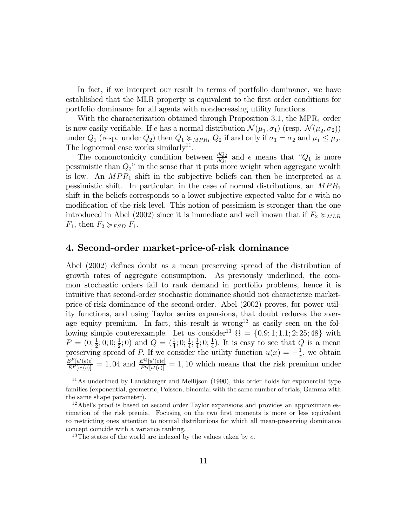In fact, if we interpret our result in terms of portfolio dominance, we have established that the MLR property is equivalent to the Örst order conditions for portfolio dominance for all agents with nondecreasing utility functions.

With the characterization obtained through Proposition 3.1, the MPR<sub>1</sub> order is now easily verifiable. If e has a normal distribution  $\mathcal{N}(\mu_1, \sigma_1)$  (resp.  $\mathcal{N}(\mu_2, \sigma_2)$ ) under  $Q_1$  (resp. under  $Q_2$ ) then  $Q_1 \succcurlyeq_{MPR_1} Q_2$  if and only if  $\sigma_1 = \sigma_2$  and  $\mu_1 \leq \mu_2$ . The lognormal case works similarly<sup>11</sup>.

The comonotonicity condition between  $\frac{dQ_2}{dQ_1}$  and e means that " $Q_1$  is more pessimistic than  $Q_2$ " in the sense that it puts more weight when aggregate wealth is low. An  $MPR_1$  shift in the subjective beliefs can then be interpreted as a pessimistic shift. In particular, in the case of normal distributions, an  $MPR_1$ shift in the beliefs corresponds to a lower subjective expected value for e with no modification of the risk level. This notion of pessimism is stronger than the one introduced in Abel (2002) since it is immediate and well known that if  $F_2 \succcurlyeq_{MLR}$  $F_1$ , then  $F_2 \succcurlyeq_{FSD} F_1$ .

## 4. Second-order market-price-of-risk dominance

Abel (2002) defines doubt as a mean preserving spread of the distribution of growth rates of aggregate consumption. As previously underlined, the common stochastic orders fail to rank demand in portfolio problems, hence it is intuitive that second-order stochastic dominance should not characterize marketprice-of-risk dominance of the second-order. Abel (2002) proves, for power utility functions, and using Taylor series expansions, that doubt reduces the average equity premium. In fact, this result is wrong<sup>12</sup> as easily seen on the following simple couterexample. Let us consider<sup>13</sup>  $\Omega = \{0.9; 1; 1.1; 2; 25; 48\}$  with  $P = (0; \frac{1}{2}; 0; 0; \frac{1}{2}; 0)$  and  $Q = (\frac{1}{4}; 0; \frac{1}{4}; \frac{1}{4})$  $\frac{1}{4}$ ; 0;  $\frac{1}{4}$ ). It is easy to see that Q is a mean preserving spread of P. If we consider the utility function  $u(x) = -\frac{1}{x}$  $\frac{1}{x}$ , we obtain  $\frac{E^P[u'(e)e]}{E^P[u'(e)]} = 1$ , 04 and  $\frac{E^Q[u'(e)e]}{E^Q[u'(e)]} = 1$ , 10 which means that the risk premium under

<sup>&</sup>lt;sup>11</sup>As underlined by Landsberger and Meilijson (1990), this order holds for exponential type families (exponential, geometric, Poisson, binomial with the same number of trials, Gamma with the same shape parameter).

 $12$ Abel's proof is based on second order Taylor expansions and provides an approximate estimation of the risk premia. Focusing on the two first moments is more or less equivalent to restricting ones attention to normal distributions for which all mean-preserving dominance concept coincide with a variance ranking.

<sup>&</sup>lt;sup>13</sup>The states of the world are indexed by the values taken by  $e$ .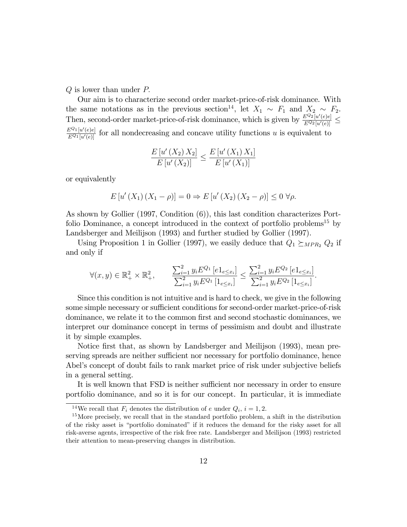$Q$  is lower than under  $P$ .

Our aim is to characterize second order market-price-of-risk dominance. With the same notations as in the previous section<sup>14</sup>, let  $X_1 \sim F_1$  and  $X_2 \sim F_2$ . Then, second-order market-price-of-risk dominance, which is given by  $\frac{E^{Q_2}[u'(e)e]}{E^{Q_2}[u'(e)]} \le$  $\frac{E^{Q_1}[u'(e)e]}{E^{Q_1}[u'(e)]}$  for all nondecreasing and concave utility functions u is equivalent to

$$
\frac{E[u'(X_2)X_2]}{E[u'(X_2)]} \le \frac{E[u'(X_1)X_1]}{E[u'(X_1)]}
$$

or equivalently

$$
E[u'(X_1)(X_1 - \rho)] = 0 \Rightarrow E[u'(X_2)(X_2 - \rho)] \le 0 \,\forall \rho.
$$

As shown by Gollier (1997, Condition (6)), this last condition characterizes Portfolio Dominance, a concept introduced in the context of portfolio problems<sup>15</sup> by Landsberger and Meilijson (1993) and further studied by Gollier (1997).

Using Proposition 1 in Gollier (1997), we easily deduce that  $Q_1 \succeq_{MPR_2} Q_2$  if and only if

$$
\forall (x, y) \in \mathbb{R}_+^2 \times \mathbb{R}_+^2, \qquad \frac{\sum_{i=1}^2 y_i E^{Q_1} [e1_{e \le x_i}]}{\sum_{i=1}^2 y_i E^{Q_1} [1_{e \le x_i}]} \le \frac{\sum_{i=1}^2 y_i E^{Q_2} [e1_{e \le x_i}]}{\sum_{i=1}^2 y_i E^{Q_2} [1_{e \le x_i}]}.
$$

Since this condition is not intuitive and is hard to check, we give in the following some simple necessary or sufficient conditions for second-order market-price-of-risk dominance, we relate it to the common first and second stochastic dominances, we interpret our dominance concept in terms of pessimism and doubt and illustrate it by simple examples.

Notice first that, as shown by Landsberger and Meilijson (1993), mean preserving spreads are neither sufficient nor necessary for portfolio dominance, hence Abel's concept of doubt fails to rank market price of risk under subjective beliefs in a general setting.

It is well known that FSD is neither sufficient nor necessary in order to ensure portfolio dominance, and so it is for our concept. In particular, it is immediate

<sup>&</sup>lt;sup>14</sup>We recall that  $F_i$  denotes the distribution of e under  $Q_i$ ,  $i = 1, 2$ .

 $15$ More precisely, we recall that in the standard portfolio problem, a shift in the distribution of the risky asset is "portfolio dominated" if it reduces the demand for the risky asset for all risk-averse agents, irrespective of the risk free rate. Landsberger and Meilijson (1993) restricted their attention to mean-preserving changes in distribution.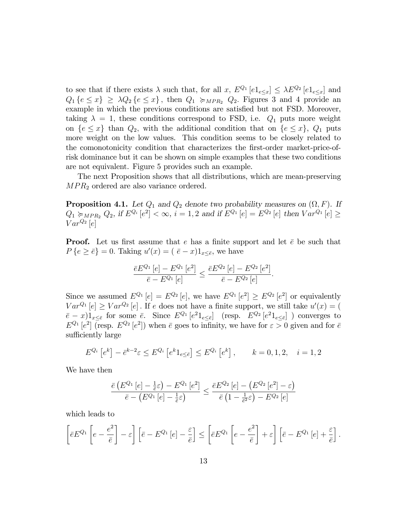to see that if there exists  $\lambda$  such that, for all  $x, E^{Q_1}[e1_{e \le x}] \le \lambda E^{Q_2}[e1_{e \le x}]$  and  $Q_1 \{e \leq x\} \geq \lambda Q_2 \{e \leq x\}$ , then  $Q_1 \succcurlyeq_{MPR_2} Q_2$ . Figures 3 and 4 provide an example in which the previous conditions are satisfied but not FSD. Moreover, taking  $\lambda = 1$ , these conditions correspond to FSD, i.e.  $Q_1$  puts more weight on  $\{e \leq x\}$  than  $Q_2$ , with the additional condition that on  $\{e \leq x\}$ ,  $Q_1$  puts more weight on the low values. This condition seems to be closely related to the comonotonicity condition that characterizes the first-order market-price-ofrisk dominance but it can be shown on simple examples that these two conditions are not equivalent. Figure 5 provides such an example.

The next Proposition shows that all distributions, which are mean-preserving  $MPR<sub>2</sub>$  ordered are also variance ordered.

**Proposition 4.1.** Let  $Q_1$  and  $Q_2$  denote two probability measures on  $(\Omega, F)$ . If  $Q_1 \succcurlyeq_{MPR_2} Q_2$ , if  $E^{Q_i}[e^2] < \infty$ ,  $i = 1, 2$  and if  $E^{Q_1}[e] = E^{Q_2}[e]$  then  $Var^{Q_1}[e] \ge$  $Var^{Q_2}[e]$ 

**Proof.** Let us first assume that e has a finite support and let  $\bar{e}$  be such that  $P\{e \geq \bar{e}\}=0.$  Taking  $u'(x)=(\bar{e}-x)1_{x \leq \bar{e}}$ , we have

$$
\frac{\bar{e}E^{Q_1}[e] - E^{Q_1}[e^2]}{\bar{e} - E^{Q_1}[e]} \le \frac{\bar{e}E^{Q_2}[e] - E^{Q_2}[e^2]}{\bar{e} - E^{Q_2}[e]}.
$$

Since we assumed  $E^{Q_1}[e] = E^{Q_2}[e]$ , we have  $E^{Q_1}[e^2] \geq E^{Q_2}[e^2]$  or equivalently  $Var^{Q_1}[e] \geq Var^{Q_2}[e]$ . If e does not have a finite support, we still take  $u'(x) = ($  $(\bar{e} - x)1_{x \leq \bar{e}}$  for some  $\bar{e}$ . Since  $E^{Q_1}[e^2 1_{e \leq \bar{e}}]$  (resp.  $E^{Q_2}[e^2 1_{e \leq \bar{e}}]$ ) converges to  $E^{Q_1} [e^2]$  (resp.  $E^{Q_2} [e^2]$ ) when  $\bar{e}$  goes to infinity, we have for  $\varepsilon > 0$  given and for  $\bar{e}$ sufficiently large

$$
E^{Q_i}[e^k] - \bar{e}^{k-2}\varepsilon \le E^{Q_i}[e^k 1_{e \le \bar{e}}] \le E^{Q_i}[e^k], \qquad k = 0, 1, 2, \quad i = 1, 2
$$

We have then

$$
\frac{\bar{e}\left(E^{Q_1}\left[e\right]-\frac{1}{\bar{e}}\varepsilon\right)-E^{Q_1}\left[e^2\right]}{\bar{e}-\left(E^{Q_1}\left[e\right]-\frac{1}{\bar{e}}\varepsilon\right)} \le \frac{\bar{e}E^{Q_2}\left[e\right]-\left(E^{Q_2}\left[e^2\right]-\varepsilon\right)}{\bar{e}\left(1-\frac{1}{\bar{e}^2}\varepsilon\right)-E^{Q_2}\left[e\right]}
$$

which leads to

$$
\left[\bar{e}E^{Q_1}\left[e-\frac{e^2}{\bar{e}}\right]-\varepsilon\right]\left[\bar{e}-E^{Q_1}\left[e\right]-\frac{\varepsilon}{\bar{e}}\right]\leq \left[\bar{e}E^{Q_1}\left[e-\frac{e^2}{\bar{e}}\right]+\varepsilon\right]\left[\bar{e}-E^{Q_1}\left[e\right]+\frac{\varepsilon}{\bar{e}}\right].
$$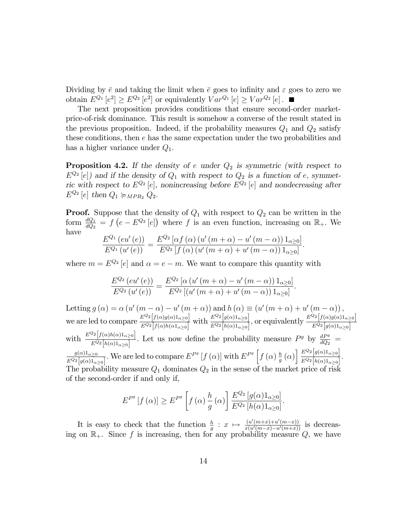Dividing by  $\bar{e}$  and taking the limit when  $\bar{e}$  goes to infinity and  $\varepsilon$  goes to zero we obtain  $E^{Q_1}[e^2] \geq E^{Q_2}[e^2]$  or equivalently  $Var^{Q_1}[e] \geq Var^{Q_2}[e]$ .

The next proposition provides conditions that ensure second-order marketprice-of-risk dominance. This result is somehow a converse of the result stated in the previous proposition. Indeed, if the probability measures  $Q_1$  and  $Q_2$  satisfy these conditions, then e has the same expectation under the two probabilities and has a higher variance under  $Q_1$ .

**Proposition 4.2.** If the density of e under  $Q_2$  is symmetric (with respect to  $E^{Q_2}[e]$  and if the density of  $Q_1$  with respect to  $Q_2$  is a function of e, symmetric with respect to  $E^{Q_2}[e]$ , nonincreasing before  $E^{Q_2}[e]$  and nondecreasing after  $E^{Q_2}[e]$  then  $Q_1 \succcurlyeq_{MPR_2} Q_2$ .

**Proof.** Suppose that the density of  $Q_1$  with respect to  $Q_2$  can be written in the form  $\frac{dQ_1}{dQ_2} = f\left(e - E^{Q_2}[e]\right)$  where f is an even function, increasing on  $\mathbb{R}_+$ . We have

$$
\frac{E^{Q_1}(eu'(e))}{E^{Q_1}(u'(e))} = \frac{E^{Q_2}[\alpha f(\alpha) (u'(m+\alpha) - u'(m-\alpha))1_{\alpha \geq 0}]}{E^{Q_2}[f(\alpha) (u'(m+\alpha) + u'(m-\alpha))1_{\alpha \geq 0}]}.
$$

where  $m = E^{Q_2} [e]$  and  $\alpha = e - m$ . We want to compare this quantity with

$$
\frac{E^{Q_2}(eu'(e))}{E^{Q_2}(u'(e))} = \frac{E^{Q_2} [\alpha (u'(m+\alpha) - u'(m-\alpha)) 1_{\alpha \geq 0}]}{E^{Q_2} [(u'(m+\alpha) + u'(m-\alpha)) 1_{\alpha \geq 0}]}.
$$

Letting  $g(\alpha) = \alpha (u'(m - \alpha) - u'(m + \alpha))$  and  $h(\alpha) \equiv (u'(m + \alpha) + u'(m - \alpha))$ , we are led to compare  $\frac{E^{Q_2}[f(\alpha)g(\alpha)1_{\alpha\geq0}]}{E^{Q_2}[f(\alpha)h(\alpha1_{\alpha\geq0}]}$  with  $\frac{E^{Q_2}[g(\alpha)1_{\alpha\geq0}]}{E^{Q_2}[h(\alpha)1_{\alpha\geq0}]}$ , or equivalently  $\frac{E^{Q_2}[f(\alpha)g(\alpha)1_{\alpha\geq0}]}{E^{Q_2}[g(\alpha)1_{\alpha\geq0}]}$ with  $\frac{E^{Q_2}[f(\alpha)h(\alpha)1_{\alpha\geq0}]}{E^{Q_2}[h(\alpha)1_{\alpha\geq0}]}$ . Let us now define the probability measure  $P^g$  by  $\frac{dP^g}{dQ_2}$  =  $g(\alpha)1_{\alpha\geq 0}$  $\frac{g(\alpha)1_{\alpha\geq 0}}{E^{Q_2}[g(\alpha)1_{\alpha\geq 0}]}$ . We are led to compare  $E^{P^g}[f(\alpha)]$  with  $E^{P^g}[f(\alpha)\frac{h}{g}$  $\frac{h}{g}\left(\alpha\right)\bigg[\frac{E^{Q_2}\big[g(\alpha)1_{\alpha\geq 0}\big]}{E^{Q_2}\big[h(\alpha)1_{\alpha\geq 0}\big]}$  $\frac{E^{-2} [9(\alpha) \mathbf{1}_{\alpha \geq 0}]}{E^{Q_2} [h(\alpha) \mathbf{1}_{\alpha \geq 0}]}$ The probability measure  $Q_1$  dominates  $Q_2$  in the sense of the market price of risk of the second-order if and only if,

$$
E^{P^g}[f(\alpha)] \ge E^{P^g}\left[f(\alpha)\frac{h}{g}(\alpha)\right] \frac{E^{Q_2}[g(\alpha)1_{\alpha\geq 0}]}{E^{Q_2}[h(\alpha)1_{\alpha\geq 0}]}.
$$

It is easy to check that the function  $\frac{h}{g}: x \mapsto \frac{(u'(m+x)+u'(m-x))}{x(u'(m-x)-u'(m+x))}$  is decreasing on  $\mathbb{R}_+$ . Since f is increasing, then for any probability measure  $Q$ , we have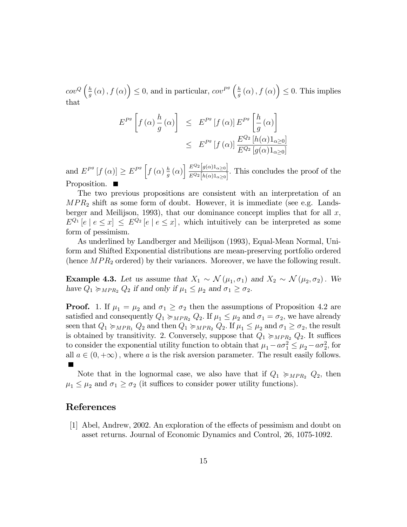$cov^Q\left(\frac{h}{a}\right)$  $\frac{h}{g}(\alpha)$ ,  $f(\alpha)\right) \leq 0$ , and in particular,  $cov^{Pg}\left(\frac{h}{g}\right)$  $\frac{h}{g}(\alpha)$ ,  $f(\alpha)\right) \leq 0$ . This implies that

$$
E^{P^g}\left[f\left(\alpha\right)\frac{h}{g}\left(\alpha\right)\right] \leq E^{P^g}\left[f\left(\alpha\right)\right]E^{P^g}\left[\frac{h}{g}\left(\alpha\right)\right]
$$

$$
\leq E^{P^g}\left[f\left(\alpha\right)\right]\frac{E^{Q_2}\left[h\left(\alpha\right)1_{\alpha\geq 0}\right]}{E^{Q_2}\left[g\left(\alpha\right)1_{\alpha\geq 0}\right]}
$$

and  $E^{P^g}[f(\alpha)] \geq E^{P^g}[f(\alpha)]\frac{h}{g}$  $\frac{h}{g}\left(\alpha\right)\bigg[\frac{E^{Q_2}\big[g(\alpha)1_{\alpha\geq0}\big]}{E^{Q_2}\big[h(\alpha)1_{\alpha>0}\big]}$  $\frac{E-\left[\mathfrak{g}(\alpha)\right]_{\alpha\geq0}}{E^{Q_2}[h(\alpha)1_{\alpha\geq0}]}$ . This concludes the proof of the Proposition.

The two previous propositions are consistent with an interpretation of an  $MPR<sub>2</sub>$  shift as some form of doubt. However, it is immediate (see e.g. Landsberger and Meilijson, 1993), that our dominance concept implies that for all  $x$ ,  $E^{Q_1}[e \mid e \leq x] \leq E^{Q_2}[e \mid e \leq x]$ , which intuitively can be interpreted as some form of pessimism.

As underlined by Landberger and Meilijson (1993), Equal-Mean Normal, Uniform and Shifted Exponential distributions are mean-preserving portfolio ordered (hence  $MPR_2$  ordered) by their variances. Moreover, we have the following result.

**Example 4.3.** Let us assume that  $X_1 \sim \mathcal{N}(\mu_1, \sigma_1)$  and  $X_2 \sim \mathcal{N}(\mu_2, \sigma_2)$ . We have  $Q_1 \succcurlyeq_{MPR_2} Q_2$  if and only if  $\mu_1 \leq \mu_2$  and  $\sigma_1 \geq \sigma_2$ .

**Proof.** 1. If  $\mu_1 = \mu_2$  and  $\sigma_1 \geq \sigma_2$  then the assumptions of Proposition 4.2 are satisfied and consequently  $Q_1 \succcurlyeq_{MPR_2} Q_2$ . If  $\mu_1 \leq \mu_2$  and  $\sigma_1 = \sigma_2$ , we have already seen that  $Q_1 \succcurlyeq_{MPR_1} Q_2$  and then  $Q_1 \succcurlyeq_{MPR_2} Q_2$ . If  $\mu_1 \leq \mu_2$  and  $\sigma_1 \geq \sigma_2$ , the result is obtained by transitivity. 2. Conversely, suppose that  $Q_1 \succcurlyeq_{MPR_2} Q_2$ . It suffices to consider the exponential utility function to obtain that  $\mu_1 - a\sigma_1^2 \leq \mu_2 - a\sigma_2^2$ , for all  $a \in (0, +\infty)$ , where a is the risk aversion parameter. The result easily follows.

Note that in the lognormal case, we also have that if  $Q_1 \succcurlyeq_{MPR_2} Q_2$ , then  $\mu_1 \leq \mu_2$  and  $\sigma_1 \geq \sigma_2$  (it suffices to consider power utility functions).

## References

 $[1]$  Abel, Andrew, 2002. An exploration of the effects of pessimism and doubt on asset returns. Journal of Economic Dynamics and Control, 26, 1075-1092.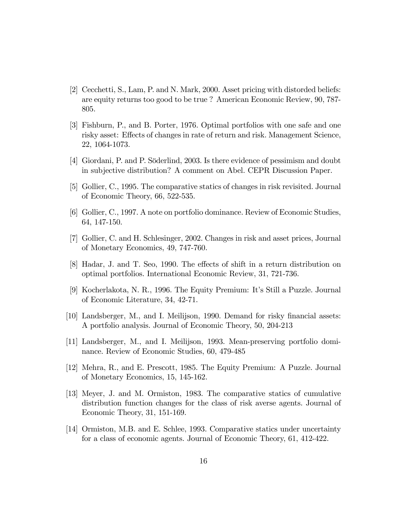- [2] Cecchetti, S., Lam, P. and N. Mark, 2000. Asset pricing with distorded beliefs: are equity returns too good to be true ? American Economic Review, 90, 787- 805.
- [3] Fishburn, P., and B. Porter, 1976. Optimal portfolios with one safe and one risky asset: Effects of changes in rate of return and risk. Management Science, 22, 1064-1073.
- [4] Giordani, P. and P. Söderlind, 2003. Is there evidence of pessimism and doubt in subjective distribution? A comment on Abel. CEPR Discussion Paper.
- [5] Gollier, C., 1995. The comparative statics of changes in risk revisited. Journal of Economic Theory, 66, 522-535.
- [6] Gollier, C., 1997. A note on portfolio dominance. Review of Economic Studies, 64, 147-150.
- [7] Gollier, C. and H. Schlesinger, 2002. Changes in risk and asset prices, Journal of Monetary Economics, 49, 747-760.
- [8] Hadar, J. and T. Seo, 1990. The effects of shift in a return distribution on optimal portfolios. International Economic Review, 31, 721-736.
- [9] Kocherlakota, N. R., 1996. The Equity Premium: Itís Still a Puzzle. Journal of Economic Literature, 34, 42-71.
- [10] Landsberger, M., and I. Meilijson, 1990. Demand for risky Önancial assets: A portfolio analysis. Journal of Economic Theory, 50, 204-213
- [11] Landsberger, M., and I. Meilijson, 1993. Mean-preserving portfolio dominance. Review of Economic Studies, 60, 479-485
- [12] Mehra, R., and E. Prescott, 1985. The Equity Premium: A Puzzle. Journal of Monetary Economics, 15, 145-162.
- [13] Meyer, J. and M. Ormiston, 1983. The comparative statics of cumulative distribution function changes for the class of risk averse agents. Journal of Economic Theory, 31, 151-169.
- [14] Ormiston, M.B. and E. Schlee, 1993. Comparative statics under uncertainty for a class of economic agents. Journal of Economic Theory, 61, 412-422.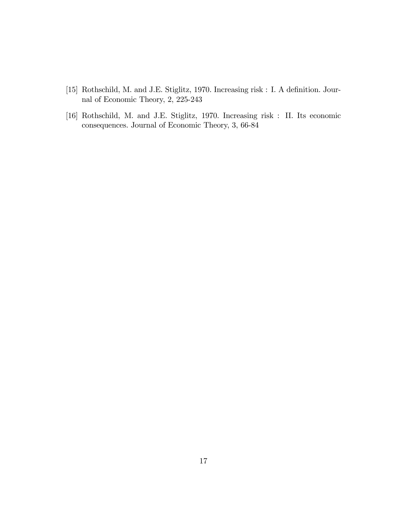- [15] Rothschild, M. and J.E. Stiglitz, 1970. Increasing risk : I. A definition. Journal of Economic Theory, 2, 225-243
- [16] Rothschild, M. and J.E. Stiglitz, 1970. Increasing risk : II. Its economic consequences. Journal of Economic Theory, 3, 66-84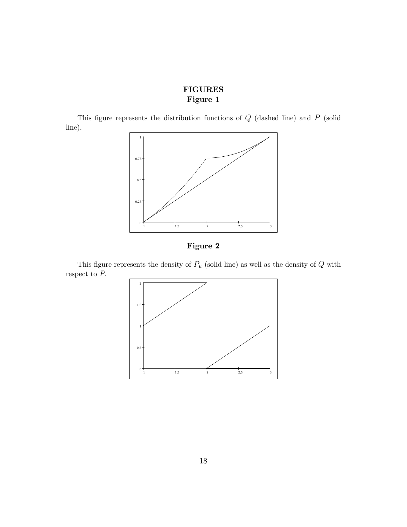# FIGURES Figure 1

This figure represents the distribution functions of  $Q$  (dashed line) and  $P$  (solid line).





This figure represents the density of  $P_u$  (solid line) as well as the density of  $Q$  with respect to  $P$ .

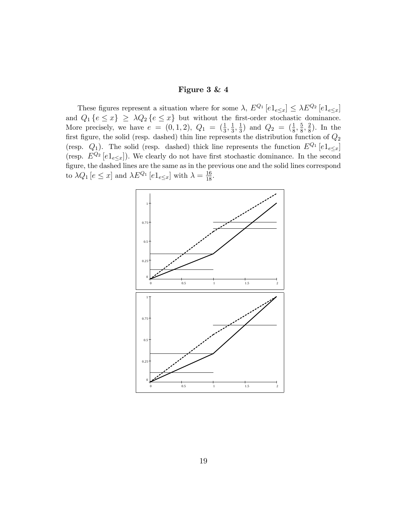#### Figure 3 & 4

These figures represent a situation where for some  $\lambda$ ,  $E^{Q_1} [e1_{e \le x}] \le \lambda E^{Q_2} [e1_{e \le x}]$ and  $Q_1 \{e \leq x\} \geq \lambda Q_2 \{e \leq x\}$  but without the first-order stochastic dominance. More precisely, we have  $e = (0, 1, 2), Q_1 = (\frac{1}{3}, \frac{1}{3})$  $\frac{1}{3}, \frac{1}{3}$  $\frac{1}{3}$ ) and  $Q_2 = (\frac{1}{8}, \frac{5}{8})$  $\frac{5}{8}, \frac{2}{8}$  $\frac{2}{8}$ ). In the first figure, the solid (resp. dashed) thin line represents the distribution function of  $Q_2$ (resp.  $Q_1$ ). The solid (resp. dashed) thick line represents the function  $E^{Q_1} [e1_{e \le x}]$ (resp.  $E^{Q_2}[e1_{e\leq x}]$ ). We clearly do not have first stochastic dominance. In the second figure, the dashed lines are the same as in the previous one and the solid lines correspond to  $\lambda Q_1$  [ $e \leq x$ ] and  $\lambda E^{Q_1}$  [ $e1_{e \leq x}$ ] with  $\lambda = \frac{16}{18}$ .